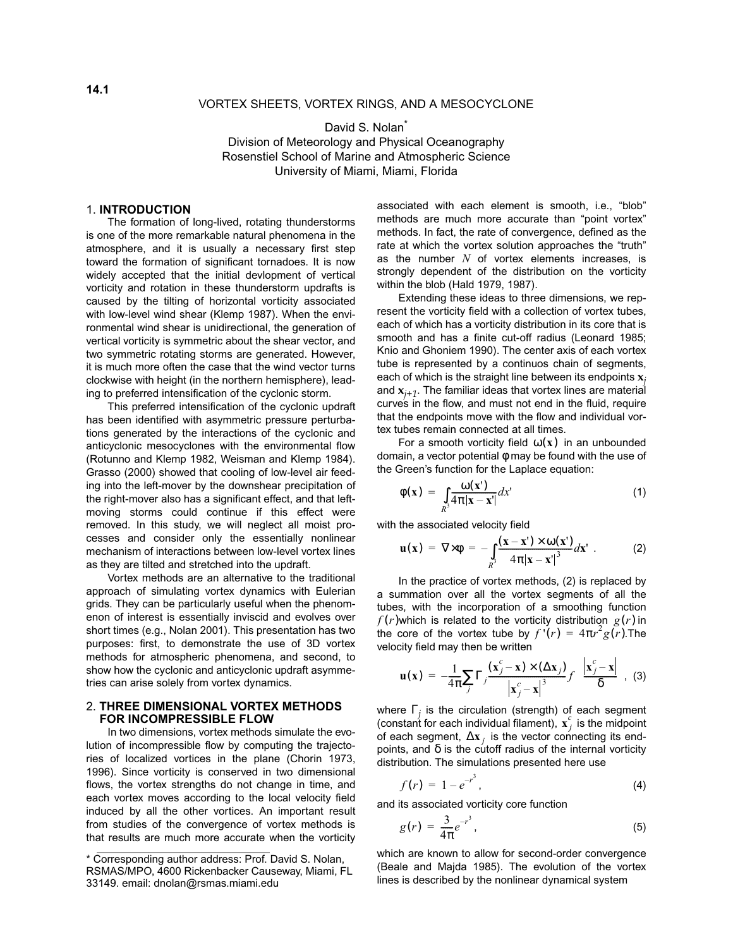### VORTEX SHEETS, VORTEX RINGS, AND A MESOCYCLONE

David S. Nolan<sup>\*</sup> Division of Meteorology and Physical Oceanography Rosenstiel School of Marine and Atmospheric Science University of Miami, Miami, Florida

### 1. **INTRODUCTION**

The formation of long-lived, rotating thunderstorms is one of the more remarkable natural phenomena in the atmosphere, and it is usually a necessary first step toward the formation of significant tornadoes. It is now widely accepted that the initial devlopment of vertical vorticity and rotation in these thunderstorm updrafts is caused by the tilting of horizontal vorticity associated with low-level wind shear (Klemp 1987). When the environmental wind shear is unidirectional, the generation of vertical vorticity is symmetric about the shear vector, and two symmetric rotating storms are generated. However, it is much more often the case that the wind vector turns clockwise with height (in the northern hemisphere), leading to preferred intensification of the cyclonic storm.

This preferred intensification of the cyclonic updraft has been identified with asymmetric pressure perturbations generated by the interactions of the cyclonic and anticyclonic mesocyclones with the environmental flow (Rotunno and Klemp 1982, Weisman and Klemp 1984). Grasso (2000) showed that cooling of low-level air feeding into the left-mover by the downshear precipitation of the right-mover also has a significant effect, and that leftmoving storms could continue if this effect were removed. In this study, we will neglect all moist processes and consider only the essentially nonlinear mechanism of interactions between low-level vortex lines as they are tilted and stretched into the updraft.

Vortex methods are an alternative to the traditional approach of simulating vortex dynamics with Eulerian grids. They can be particularly useful when the phenomenon of interest is essentially inviscid and evolves over short times (e.g., Nolan 2001). This presentation has two purposes: first, to demonstrate the use of 3D vortex methods for atmospheric phenomena, and second, to show how the cyclonic and anticyclonic updraft asymmetries can arise solely from vortex dynamics.

# 2. **THREE DIMENSIONAL VORTEX METHODS FOR INCOMPRESSIBLE FLOW**

In two dimensions, vortex methods simulate the evolution of incompressible flow by computing the trajectories of localized vortices in the plane (Chorin 1973, 1996). Since vorticity is conserved in two dimensional flows, the vortex strengths do not change in time, and each vortex moves according to the local velocity field induced by all the other vortices. An important result from studies of the convergence of vortex methods is that results are much more accurate when the vorticity associated with each element is smooth, i.e., "blob" methods are much more accurate than "point vortex" methods. In fact, the rate of convergence, defined as the rate at which the vortex solution approaches the "truth" as the number *N* of vortex elements increases, is strongly dependent of the distribution on the vorticity within the blob (Hald 1979, 1987).

Extending these ideas to three dimensions, we represent the vorticity field with a collection of vortex tubes, each of which has a vorticity distribution in its core that is smooth and has a finite cut-off radius (Leonard 1985; Knio and Ghoniem 1990). The center axis of each vortex tube is represented by a continuos chain of segments, each of which is the straight line between its endpoints **x***<sup>j</sup>* and **x***j+1*. The familiar ideas that vortex lines are material curves in the flow, and must not end in the fluid, require that the endpoints move with the flow and individual vortex tubes remain connected at all times.

For a smooth vorticity field  $\omega(\mathbf{x})$  in an unbounded domain, a vector potential  $\phi$  may be found with the use of the Green's function for the Laplace equation:

$$
\phi(\mathbf{x}) = \int\limits_{R^3} \frac{\omega(\mathbf{x}')}{4\pi |\mathbf{x} - \mathbf{x}'|} dx' \tag{1}
$$

with the associated velocity field

$$
\mathbf{u}(\mathbf{x}) = \nabla \times \phi = -\int_{R^3} \frac{(\mathbf{x} - \mathbf{x}^{\prime}) \times \omega(\mathbf{x}^{\prime})}{4\pi |\mathbf{x} - \mathbf{x}^{\prime}|^3} d\mathbf{x}^{\prime} . \tag{2}
$$

In the practice of vortex methods, (2) is replaced by a summation over all the vortex segments of all the tubes, with the incorporation of a smoothing function  $f(r)$ which is related to the vorticity distribution  $g(r)$  in the core of the vortex tube by  $f'(r) = 4\pi r^2 g(r)$ . The velocity field may then be written

$$
\mathbf{u}(\mathbf{x}) = -\frac{1}{4\pi} \sum_{j} \Gamma_j \frac{(\mathbf{x}_j^c - \mathbf{x}) \times (\Delta \mathbf{x}_j)}{|\mathbf{x}_j^c - \mathbf{x}|^3} f\left(\frac{|\mathbf{x}_j^c - \mathbf{x}|}{\delta}\right), \tag{3}
$$

where Γ*<sup>j</sup>* is the circulation (strength) of each segment (constant for each individual filament),  $\mathbf{x}_j^c$  is the midpoint of each segment,  $\Delta \mathbf{x}_j$  is the vector connecting its endpoints, and  $\delta$  is the cutoff radius of the internal vorticity distribution. The simulations presented here use

$$
f(r) = 1 - e^{-r^3}, \tag{4}
$$

and its associated vorticity core function

$$
g(r) = \frac{3}{4\pi}e^{-r^3},
$$
 (5)

which are known to allow for second-order convergence (Beale and Majda 1985). The evolution of the vortex lines is described by the nonlinear dynamical system

<sup>\*</sup> Corresponding author address: Prof. David S. Nolan, RSMAS/MPO, 4600 Rickenbacker Causeway, Miami, FL 33149. email: dnolan@rsmas.miami.edu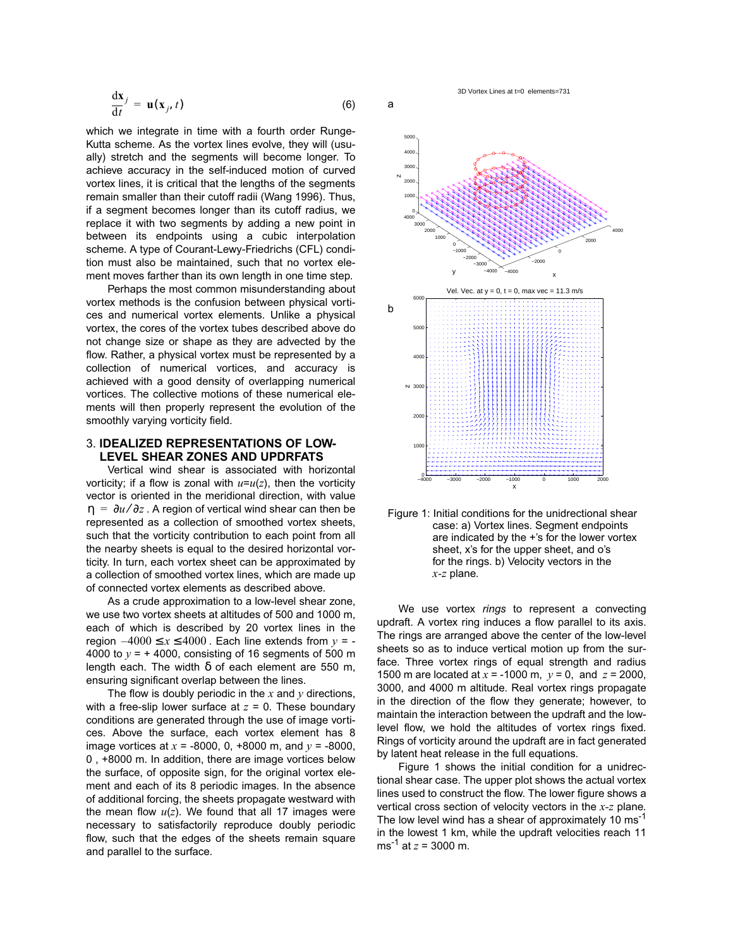$$
\frac{\mathrm{d}\mathbf{x}}{\mathrm{d}t} = \mathbf{u}(\mathbf{x}_j, t) \tag{6}
$$

which we integrate in time with a fourth order Runge-Kutta scheme. As the vortex lines evolve, they will (usually) stretch and the segments will become longer. To achieve accuracy in the self-induced motion of curved vortex lines, it is critical that the lengths of the segments remain smaller than their cutoff radii (Wang 1996). Thus, if a segment becomes longer than its cutoff radius, we replace it with two segments by adding a new point in between its endpoints using a cubic interpolation scheme. A type of Courant-Lewy-Friedrichs (CFL) condition must also be maintained, such that no vortex element moves farther than its own length in one time step.

Perhaps the most common misunderstanding about vortex methods is the confusion between physical vortices and numerical vortex elements. Unlike a physical vortex, the cores of the vortex tubes described above do not change size or shape as they are advected by the flow. Rather, a physical vortex must be represented by a collection of numerical vortices, and accuracy is achieved with a good density of overlapping numerical vortices. The collective motions of these numerical elements will then properly represent the evolution of the smoothly varying vorticity field.

## 3. **IDEALIZED REPRESENTATIONS OF LOW-LEVEL SHEAR ZONES AND UPDRFATS**

Vertical wind shear is associated with horizontal vorticity; if a flow is zonal with  $u=u(z)$ , then the vorticity vector is oriented in the meridional direction, with value  $\eta = \partial u / \partial z$  . A region of vertical wind shear can then be represented as a collection of smoothed vortex sheets, such that the vorticity contribution to each point from all the nearby sheets is equal to the desired horizontal vorticity. In turn, each vortex sheet can be approximated by a collection of smoothed vortex lines, which are made up of connected vortex elements as described above.

As a crude approximation to a low-level shear zone, we use two vortex sheets at altitudes of 500 and 1000 m, each of which is described by 20 vortex lines in the region  $-4000 \le x \le 4000$ . Each line extends from  $y = -$ 4000 to  $v = +4000$ , consisting of 16 segments of 500 m length each. The width  $\delta$  of each element are 550 m, ensuring significant overlap between the lines.

The flow is doubly periodic in the  $x$  and  $y$  directions, with a free-slip lower surface at *z* = 0. These boundary conditions are generated through the use of image vortices. Above the surface, each vortex element has 8 image vortices at *x* = -8000, 0, +8000 m, and *y* = -8000, 0 , +8000 m. In addition, there are image vortices below the surface, of opposite sign, for the original vortex element and each of its 8 periodic images. In the absence of additional forcing, the sheets propagate westward with the mean flow  $u(z)$ . We found that all 17 images were necessary to satisfactorily reproduce doubly periodic flow, such that the edges of the sheets remain square and parallel to the surface.

a





We use vortex *rings* to represent a convecting updraft. A vortex ring induces a flow parallel to its axis. The rings are arranged above the center of the low-level sheets so as to induce vertical motion up from the surface. Three vortex rings of equal strength and radius 1500 m are located at *x* = -1000 m, *y* = 0, and *z* = 2000, 3000, and 4000 m altitude. Real vortex rings propagate in the direction of the flow they generate; however, to maintain the interaction between the updraft and the lowlevel flow, we hold the altitudes of vortex rings fixed. Rings of vorticity around the updraft are in fact generated by latent heat release in the full equations.

Figure 1 shows the initial condition for a unidrectional shear case. The upper plot shows the actual vortex lines used to construct the flow. The lower figure shows a vertical cross section of velocity vectors in the *x-z* plane. The low level wind has a shear of approximately 10 ms<sup>-1</sup> in the lowest 1 km, while the updraft velocities reach 11 ms<sup>-1</sup> at  $z = 3000$  m.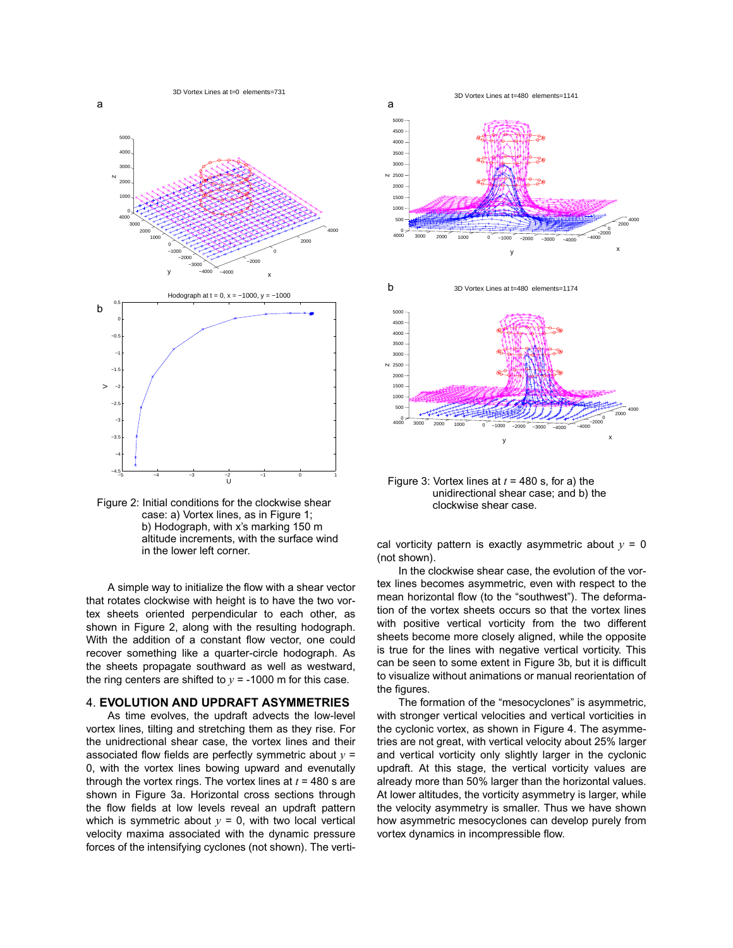



A simple way to initialize the flow with a shear vector that rotates clockwise with height is to have the two vortex sheets oriented perpendicular to each other, as shown in Figure 2, along with the resulting hodograph. With the addition of a constant flow vector, one could recover something like a quarter-circle hodograph. As the sheets propagate southward as well as westward, the ring centers are shifted to  $v = -1000$  m for this case.

# 4. **EVOLUTION AND UPDRAFT ASYMMETRIES**

As time evolves, the updraft advects the low-level vortex lines, tilting and stretching them as they rise. For the unidrectional shear case, the vortex lines and their associated flow fields are perfectly symmetric about  $y =$ 0, with the vortex lines bowing upward and evenutally through the vortex rings. The vortex lines at *t* = 480 s are shown in Figure 3a. Horizontal cross sections through the flow fields at low levels reveal an updraft pattern which is symmetric about  $y = 0$ , with two local vertical velocity maxima associated with the dynamic pressure forces of the intensifying cyclones (not shown). The verti-



Figure 3: Vortex lines at  $t = 480$  s, for a) the unidirectional shear case; and b) the clockwise shear case.

cal vorticity pattern is exactly asymmetric about  $y = 0$ (not shown).

In the clockwise shear case, the evolution of the vortex lines becomes asymmetric, even with respect to the mean horizontal flow (to the "southwest"). The deformation of the vortex sheets occurs so that the vortex lines with positive vertical vorticity from the two different sheets become more closely aligned, while the opposite is true for the lines with negative vertical vorticity. This can be seen to some extent in Figure 3b, but it is difficult to visualize without animations or manual reorientation of the figures.

The formation of the "mesocyclones" is asymmetric, with stronger vertical velocities and vertical vorticities in the cyclonic vortex, as shown in Figure 4. The asymmetries are not great, with vertical velocity about 25% larger and vertical vorticity only slightly larger in the cyclonic updraft. At this stage, the vertical vorticity values are already more than 50% larger than the horizontal values. At lower altitudes, the vorticity asymmetry is larger, while the velocity asymmetry is smaller. Thus we have shown how asymmetric mesocyclones can develop purely from vortex dynamics in incompressible flow.